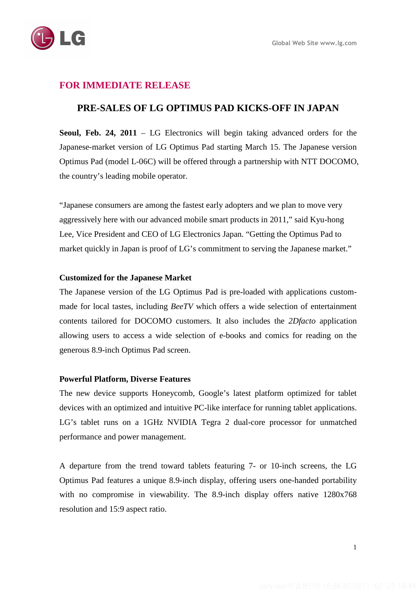# **FOR IMMEDIATE RELEASE**

## **PRE-SALES OF LG OPTIMUS PAD KICKS-OFF IN JAPAN**

**Seoul, Feb. 24, 2011** – LG Electronics will begin taking advanced orders for the Japanese-market version of LG Optimus Pad starting March 15. The Japanese version Optimus Pad (model L-06C) will be offered through a partnership with NTT DOCOMO, the country's leading mobile operator.

"Japanese consumers are among the fastest early adopters and we plan to move very aggressively here with our advanced mobile smart products in 2011," said Kyu-hong Lee, Vice President and CEO of LG Electronics Japan. "Getting the Optimus Pad to market quickly in Japan is proof of LG's commitment to serving the Japanese market."

### **Customized for the Japanese Market**

The Japanese version of the LG Optimus Pad is pre-loaded with applications custommade for local tastes, including *BeeTV* which offers a wide selection of entertainment contents tailored for DOCOMO customers. It also includes the *2Dfacto* application allowing users to access a wide selection of e-books and comics for reading on the generous 8.9-inch Optimus Pad screen.

### **Powerful Platform, Diverse Features**

The new device supports Honeycomb, Google's latest platform optimized for tablet devices with an optimized and intuitive PC-like interface for running tablet applications. LG's tablet runs on a 1GHz NVIDIA Tegra 2 dual-core processor for unmatched performance and power management.

A departure from the trend toward tablets featuring 7- or 10-inch screens, the LG Optimus Pad features a unique 8.9-inch display, offering users one-handed portability with no compromise in viewability. The 8.9-inch display offers native 1280x768 resolution and 15:9 aspect ratio.